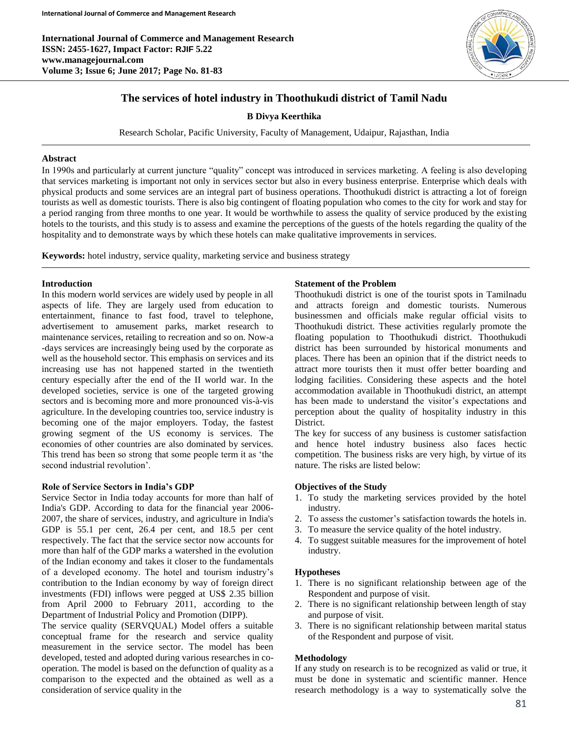**International Journal of Commerce and Management Research ISSN: 2455-1627, Impact Factor: RJIF 5.22 www.managejournal.com Volume 3; Issue 6; June 2017; Page No. 81-83**



# **The services of hotel industry in Thoothukudi district of Tamil Nadu**

**B Divya Keerthika**

Research Scholar, Pacific University, Faculty of Management, Udaipur, Rajasthan, India

#### **Abstract**

In 1990s and particularly at current juncture "quality" concept was introduced in services marketing. A feeling is also developing that services marketing is important not only in services sector but also in every business enterprise. Enterprise which deals with physical products and some services are an integral part of business operations. Thoothukudi district is attracting a lot of foreign tourists as well as domestic tourists. There is also big contingent of floating population who comes to the city for work and stay for a period ranging from three months to one year. It would be worthwhile to assess the quality of service produced by the existing hotels to the tourists, and this study is to assess and examine the perceptions of the guests of the hotels regarding the quality of the hospitality and to demonstrate ways by which these hotels can make qualitative improvements in services.

**Keywords:** hotel industry, service quality, marketing service and business strategy

#### **Introduction**

In this modern world services are widely used by people in all aspects of life. They are largely used from education to entertainment, finance to fast food, travel to telephone, advertisement to amusement parks, market research to maintenance services, retailing to recreation and so on. Now-a -days services are increasingly being used by the corporate as well as the household sector. This emphasis on services and its increasing use has not happened started in the twentieth century especially after the end of the II world war. In the developed societies, service is one of the targeted growing sectors and is becoming more and more pronounced vis-à-vis agriculture. In the developing countries too, service industry is becoming one of the major employers. Today, the fastest growing segment of the US economy is services. The economies of other countries are also dominated by services. This trend has been so strong that some people term it as 'the second industrial revolution'.

#### **Role of Service Sectors in India's GDP**

Service Sector in India today accounts for more than half of India's GDP. According to data for the financial year 2006- 2007, the share of services, industry, and agriculture in India's GDP is 55.1 per cent, 26.4 per cent, and 18.5 per cent respectively. The fact that the service sector now accounts for more than half of the GDP marks a watershed in the evolution of the Indian economy and takes it closer to the fundamentals of a developed economy. The hotel and tourism industry's contribution to the Indian economy by way of foreign direct investments (FDI) inflows were pegged at US\$ 2.35 billion from April 2000 to February 2011, according to the Department of Industrial Policy and Promotion (DIPP).

The service quality (SERVQUAL) Model offers a suitable conceptual frame for the research and service quality measurement in the service sector. The model has been developed, tested and adopted during various researches in cooperation. The model is based on the defunction of quality as a comparison to the expected and the obtained as well as a consideration of service quality in the

#### **Statement of the Problem**

Thoothukudi district is one of the tourist spots in Tamilnadu and attracts foreign and domestic tourists. Numerous businessmen and officials make regular official visits to Thoothukudi district. These activities regularly promote the floating population to Thoothukudi district. Thoothukudi district has been surrounded by historical monuments and places. There has been an opinion that if the district needs to attract more tourists then it must offer better boarding and lodging facilities. Considering these aspects and the hotel accommodation available in Thoothukudi district, an attempt has been made to understand the visitor's expectations and perception about the quality of hospitality industry in this District.

The key for success of any business is customer satisfaction and hence hotel industry business also faces hectic competition. The business risks are very high, by virtue of its nature. The risks are listed below:

### **Objectives of the Study**

- 1. To study the marketing services provided by the hotel industry.
- 2. To assess the customer's satisfaction towards the hotels in.
- 3. To measure the service quality of the hotel industry.
- 4. To suggest suitable measures for the improvement of hotel industry.

### **Hypotheses**

- 1. There is no significant relationship between age of the Respondent and purpose of visit.
- 2. There is no significant relationship between length of stay and purpose of visit.
- 3. There is no significant relationship between marital status of the Respondent and purpose of visit.

### **Methodology**

If any study on research is to be recognized as valid or true, it must be done in systematic and scientific manner. Hence research methodology is a way to systematically solve the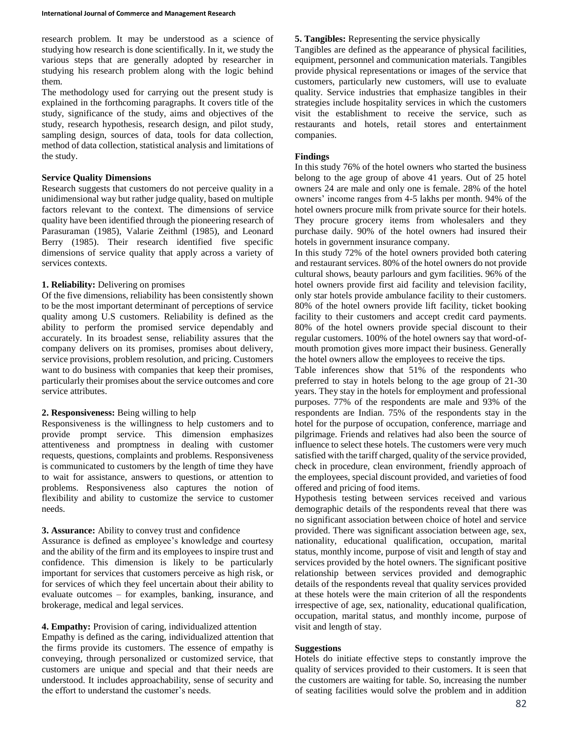research problem. It may be understood as a science of studying how research is done scientifically. In it, we study the various steps that are generally adopted by researcher in studying his research problem along with the logic behind them.

The methodology used for carrying out the present study is explained in the forthcoming paragraphs. It covers title of the study, significance of the study, aims and objectives of the study, research hypothesis, research design, and pilot study, sampling design, sources of data, tools for data collection, method of data collection, statistical analysis and limitations of the study.

#### **Service Quality Dimensions**

Research suggests that customers do not perceive quality in a unidimensional way but rather judge quality, based on multiple factors relevant to the context. The dimensions of service quality have been identified through the pioneering research of Parasuraman (1985), Valarie Zeithml (1985), and Leonard Berry (1985). Their research identified five specific dimensions of service quality that apply across a variety of services contexts.

### **1. Reliability:** Delivering on promises

Of the five dimensions, reliability has been consistently shown to be the most important determinant of perceptions of service quality among U.S customers. Reliability is defined as the ability to perform the promised service dependably and accurately. In its broadest sense, reliability assures that the company delivers on its promises, promises about delivery, service provisions, problem resolution, and pricing. Customers want to do business with companies that keep their promises, particularly their promises about the service outcomes and core service attributes.

### **2. Responsiveness:** Being willing to help

Responsiveness is the willingness to help customers and to provide prompt service. This dimension emphasizes attentiveness and promptness in dealing with customer requests, questions, complaints and problems. Responsiveness is communicated to customers by the length of time they have to wait for assistance, answers to questions, or attention to problems. Responsiveness also captures the notion of flexibility and ability to customize the service to customer needs.

### **3. Assurance:** Ability to convey trust and confidence

Assurance is defined as employee's knowledge and courtesy and the ability of the firm and its employees to inspire trust and confidence. This dimension is likely to be particularly important for services that customers perceive as high risk, or for services of which they feel uncertain about their ability to evaluate outcomes – for examples, banking, insurance, and brokerage, medical and legal services.

### **4. Empathy:** Provision of caring, individualized attention

Empathy is defined as the caring, individualized attention that the firms provide its customers. The essence of empathy is conveying, through personalized or customized service, that customers are unique and special and that their needs are understood. It includes approachability, sense of security and the effort to understand the customer's needs.

## **5. Tangibles:** Representing the service physically

Tangibles are defined as the appearance of physical facilities, equipment, personnel and communication materials. Tangibles provide physical representations or images of the service that customers, particularly new customers, will use to evaluate quality. Service industries that emphasize tangibles in their strategies include hospitality services in which the customers visit the establishment to receive the service, such as restaurants and hotels, retail stores and entertainment companies.

### **Findings**

In this study 76% of the hotel owners who started the business belong to the age group of above 41 years. Out of 25 hotel owners 24 are male and only one is female. 28% of the hotel owners' income ranges from 4-5 lakhs per month. 94% of the hotel owners procure milk from private source for their hotels. They procure grocery items from wholesalers and they purchase daily. 90% of the hotel owners had insured their hotels in government insurance company.

In this study 72% of the hotel owners provided both catering and restaurant services. 80% of the hotel owners do not provide cultural shows, beauty parlours and gym facilities. 96% of the hotel owners provide first aid facility and television facility, only star hotels provide ambulance facility to their customers. 80% of the hotel owners provide lift facility, ticket booking facility to their customers and accept credit card payments. 80% of the hotel owners provide special discount to their regular customers. 100% of the hotel owners say that word-ofmouth promotion gives more impact their business. Generally the hotel owners allow the employees to receive the tips.

Table inferences show that 51% of the respondents who preferred to stay in hotels belong to the age group of 21-30 years. They stay in the hotels for employment and professional purposes. 77% of the respondents are male and 93% of the respondents are Indian. 75% of the respondents stay in the hotel for the purpose of occupation, conference, marriage and pilgrimage. Friends and relatives had also been the source of influence to select these hotels. The customers were very much satisfied with the tariff charged, quality of the service provided, check in procedure, clean environment, friendly approach of the employees, special discount provided, and varieties of food offered and pricing of food items.

Hypothesis testing between services received and various demographic details of the respondents reveal that there was no significant association between choice of hotel and service provided. There was significant association between age, sex, nationality, educational qualification, occupation, marital status, monthly income, purpose of visit and length of stay and services provided by the hotel owners. The significant positive relationship between services provided and demographic details of the respondents reveal that quality services provided at these hotels were the main criterion of all the respondents irrespective of age, sex, nationality, educational qualification, occupation, marital status, and monthly income, purpose of visit and length of stay.

### **Suggestions**

Hotels do initiate effective steps to constantly improve the quality of services provided to their customers. It is seen that the customers are waiting for table. So, increasing the number of seating facilities would solve the problem and in addition